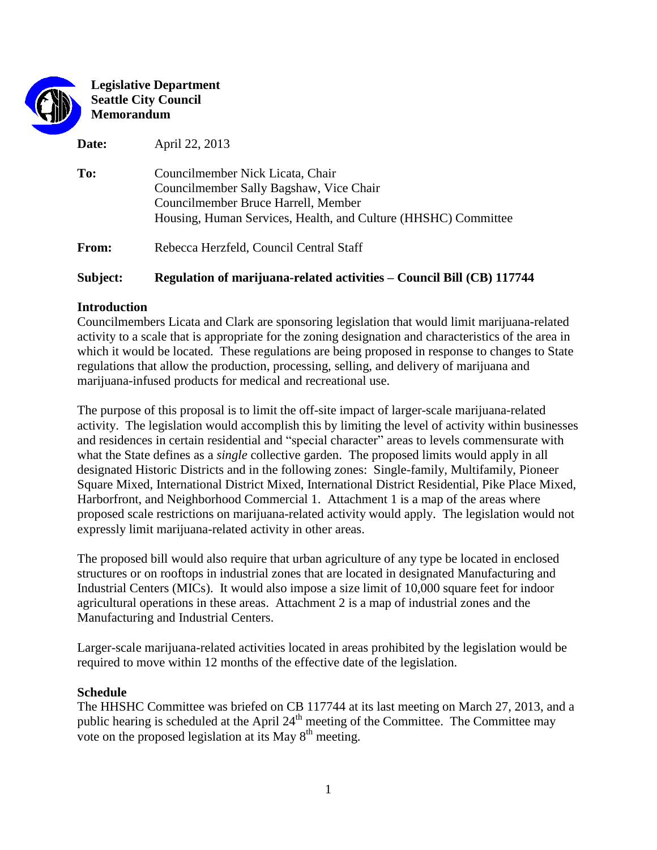

**Legislative Department Seattle City Council Memorandum**

**Date:** April 22, 2013

| To:   | Councilmember Nick Licata, Chair<br>Councilmember Sally Bagshaw, Vice Chair<br>Councilmember Bruce Harrell, Member<br>Housing, Human Services, Health, and Culture (HHSHC) Committee |
|-------|--------------------------------------------------------------------------------------------------------------------------------------------------------------------------------------|
| From: | Rebecca Herzfeld, Council Central Staff                                                                                                                                              |

# **Subject: Regulation of marijuana-related activities – Council Bill (CB) 117744**

## **Introduction**

Councilmembers Licata and Clark are sponsoring legislation that would limit marijuana-related activity to a scale that is appropriate for the zoning designation and characteristics of the area in which it would be located. These regulations are being proposed in response to changes to State regulations that allow the production, processing, selling, and delivery of marijuana and marijuana-infused products for medical and recreational use.

The purpose of this proposal is to limit the off-site impact of larger-scale marijuana-related activity. The legislation would accomplish this by limiting the level of activity within businesses and residences in certain residential and "special character" areas to levels commensurate with what the State defines as a *single* collective garden. The proposed limits would apply in all designated Historic Districts and in the following zones: Single-family, Multifamily, Pioneer Square Mixed, International District Mixed, International District Residential, Pike Place Mixed, Harborfront, and Neighborhood Commercial 1. Attachment 1 is a map of the areas where proposed scale restrictions on marijuana-related activity would apply. The legislation would not expressly limit marijuana-related activity in other areas.

The proposed bill would also require that urban agriculture of any type be located in enclosed structures or on rooftops in industrial zones that are located in designated Manufacturing and Industrial Centers (MICs). It would also impose a size limit of 10,000 square feet for indoor agricultural operations in these areas. Attachment 2 is a map of industrial zones and the Manufacturing and Industrial Centers.

Larger-scale marijuana-related activities located in areas prohibited by the legislation would be required to move within 12 months of the effective date of the legislation.

## **Schedule**

The HHSHC Committee was briefed on CB 117744 at its last meeting on March 27, 2013, and a public hearing is scheduled at the April 24<sup>th</sup> meeting of the Committee. The Committee may vote on the proposed legislation at its May  $8<sup>th</sup>$  meeting.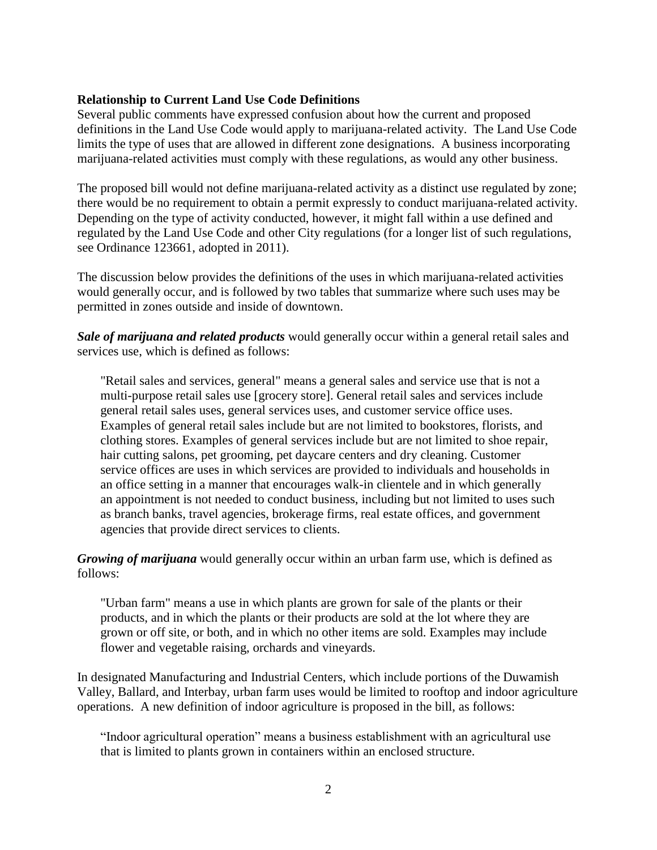#### **Relationship to Current Land Use Code Definitions**

Several public comments have expressed confusion about how the current and proposed definitions in the Land Use Code would apply to marijuana-related activity. The Land Use Code limits the type of uses that are allowed in different zone designations. A business incorporating marijuana-related activities must comply with these regulations, as would any other business.

The proposed bill would not define marijuana-related activity as a distinct use regulated by zone; there would be no requirement to obtain a permit expressly to conduct marijuana-related activity. Depending on the type of activity conducted, however, it might fall within a use defined and regulated by the Land Use Code and other City regulations (for a longer list of such regulations, see Ordinance 123661, adopted in 2011).

The discussion below provides the definitions of the uses in which marijuana-related activities would generally occur, and is followed by two tables that summarize where such uses may be permitted in zones outside and inside of downtown.

*Sale of marijuana and related products* would generally occur within a general retail sales and services use, which is defined as follows:

"Retail sales and services, general" means a general sales and service use that is not a multi-purpose retail sales use [grocery store]. General retail sales and services include general retail sales uses, general services uses, and customer service office uses. Examples of general retail sales include but are not limited to bookstores, florists, and clothing stores. Examples of general services include but are not limited to shoe repair, hair cutting salons, pet grooming, pet daycare centers and dry cleaning. Customer service offices are uses in which services are provided to individuals and households in an office setting in a manner that encourages walk-in clientele and in which generally an appointment is not needed to conduct business, including but not limited to uses such as branch banks, travel agencies, brokerage firms, real estate offices, and government agencies that provide direct services to clients.

*Growing of marijuana* would generally occur within an urban farm use, which is defined as follows:

"Urban farm" means a use in which plants are grown for sale of the plants or their products, and in which the plants or their products are sold at the lot where they are grown or off site, or both, and in which no other items are sold. Examples may include flower and vegetable raising, orchards and vineyards.

In designated Manufacturing and Industrial Centers, which include portions of the Duwamish Valley, Ballard, and Interbay, urban farm uses would be limited to rooftop and indoor agriculture operations. A new definition of indoor agriculture is proposed in the bill, as follows:

"Indoor agricultural operation" means a business establishment with an agricultural use that is limited to plants grown in containers within an enclosed structure.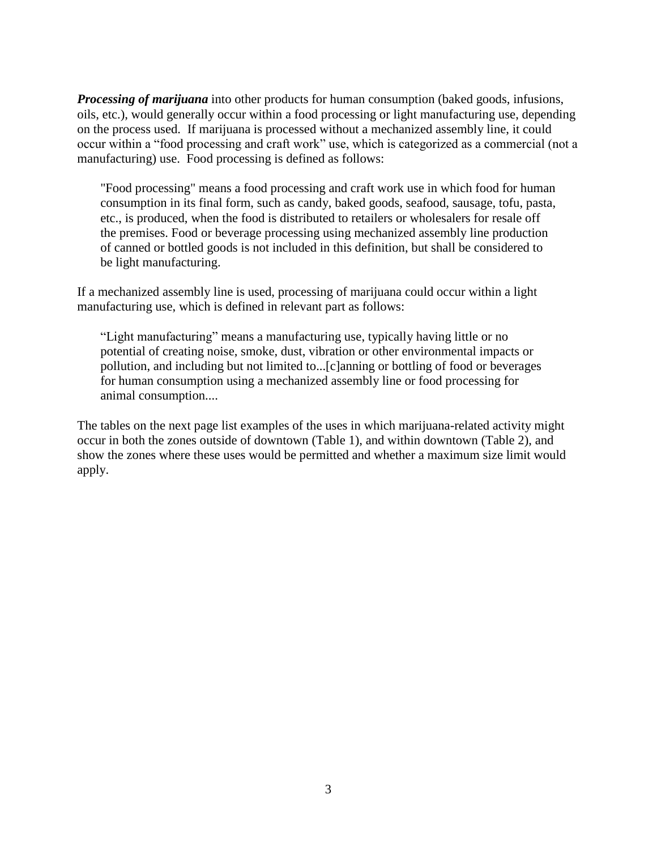*Processing of marijuana* into other products for human consumption (baked goods, infusions, oils, etc.), would generally occur within a food processing or light manufacturing use, depending on the process used. If marijuana is processed without a mechanized assembly line, it could occur within a "food processing and craft work" use, which is categorized as a commercial (not a manufacturing) use. Food processing is defined as follows:

"Food processing" means a food processing and craft work use in which food for human consumption in its final form, such as candy, baked goods, seafood, sausage, tofu, pasta, etc., is produced, when the food is distributed to retailers or wholesalers for resale off the premises. Food or beverage processing using mechanized assembly line production of canned or bottled goods is not included in this definition, but shall be considered to be light manufacturing.

If a mechanized assembly line is used, processing of marijuana could occur within a light manufacturing use, which is defined in relevant part as follows:

"Light manufacturing" means a manufacturing use, typically having little or no potential of creating noise, smoke, dust, vibration or other environmental impacts or pollution, and including but not limited to...[c]anning or bottling of food or beverages for human consumption using a mechanized assembly line or food processing for animal consumption....

The tables on the next page list examples of the uses in which marijuana-related activity might occur in both the zones outside of downtown (Table 1), and within downtown (Table 2), and show the zones where these uses would be permitted and whether a maximum size limit would apply.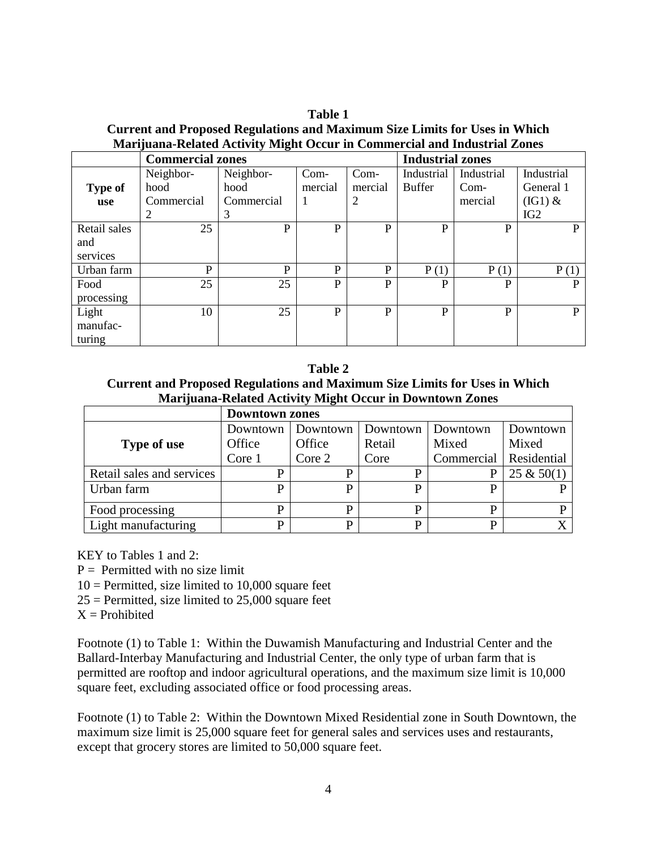**Table 1 Current and Proposed Regulations and Maximum Size Limits for Uses in Which Marijuana-Related Activity Might Occur in Commercial and Industrial Zones**

|                | <b>Commercial zones</b> | <b>Industrial zones</b> |              |             |               |            |                 |
|----------------|-------------------------|-------------------------|--------------|-------------|---------------|------------|-----------------|
|                | Neighbor-               | Neighbor-               | Com-         | Com-        | Industrial    | Industrial | Industrial      |
| <b>Type of</b> | hood                    | hood                    | mercial      | mercial     | <b>Buffer</b> | $Com-$     | General 1       |
| use            | Commercial              | Commercial              | 1            | 2           |               | mercial    | $(IG1)$ &       |
|                | 2                       | 3                       |              |             |               |            | IG <sub>2</sub> |
| Retail sales   | 25                      | P                       | P            | $\mathbf P$ | P             | P          | P               |
| and            |                         |                         |              |             |               |            |                 |
| services       |                         |                         |              |             |               |            |                 |
| Urban farm     | P                       | P                       | P            | P           | P(1)          | P(1)       | P(1)            |
| Food           | 25                      | 25                      | $\mathbf{P}$ | P           | P             | P          | P               |
| processing     |                         |                         |              |             |               |            |                 |
| Light          | 10                      | 25                      | $\mathbf{P}$ | P           | P             | P          | P               |
| manufac-       |                         |                         |              |             |               |            |                 |
| turing         |                         |                         |              |             |               |            |                 |

**Table 2**

**Current and Proposed Regulations and Maximum Size Limits for Uses in Which Marijuana-Related Activity Might Occur in Downtown Zones**

|                           | <b>Downtown zones</b> |          |          |            |               |  |  |  |  |
|---------------------------|-----------------------|----------|----------|------------|---------------|--|--|--|--|
|                           | Downtown              | Downtown | Downtown | Downtown   | Downtown      |  |  |  |  |
| Type of use               | Office                | Office   | Retail   | Mixed      | Mixed         |  |  |  |  |
|                           | Core 1                | Core 2   | Core     | Commercial | Residential   |  |  |  |  |
| Retail sales and services | P                     | D        |          |            | $25 \& 50(1)$ |  |  |  |  |
| Urban farm                | P                     | p        |          |            |               |  |  |  |  |
| Food processing           | p                     | P        |          |            |               |  |  |  |  |
| Light manufacturing       | D                     | D        | ה        |            |               |  |  |  |  |

KEY to Tables 1 and 2:

 $P =$  Permitted with no size limit

 $10 =$  Permitted, size limited to 10,000 square feet

 $25$  = Permitted, size limited to 25,000 square feet

 $X =$ Prohibited

Footnote (1) to Table 1: Within the Duwamish Manufacturing and Industrial Center and the Ballard-Interbay Manufacturing and Industrial Center, the only type of urban farm that is permitted are rooftop and indoor agricultural operations, and the maximum size limit is 10,000 square feet, excluding associated office or food processing areas.

Footnote (1) to Table 2: Within the Downtown Mixed Residential zone in South Downtown, the maximum size limit is 25,000 square feet for general sales and services uses and restaurants, except that grocery stores are limited to 50,000 square feet.